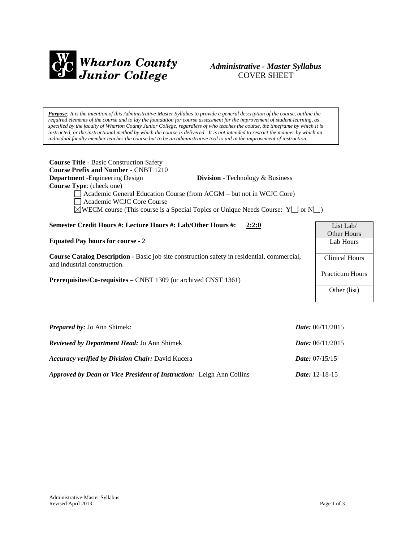

# *Administrative - Master Syllabus*  COVER SHEET

*Purpose: It is the intention of this Administrative-Master Syllabus to provide a general description of the course, outline the required elements of the course and to lay the foundation for course assessment for the improvement of student learning, as specified by the faculty of Wharton County Junior College, regardless of who teaches the course, the timeframe by which it is instructed, or the instructional method by which the course is delivered. It is not intended to restrict the manner by which an individual faculty member teaches the course but to be an administrative tool to aid in the improvement of instruction.*

| <b>Course Title - Basic Construction Safety</b><br><b>Course Prefix and Number - CNBT 1210</b><br><b>Department</b> -Engineering Design<br><b>Division</b> - Technology & Business<br>Course Type: (check one)<br>Academic General Education Course (from ACGM – but not in WCJC Core)<br>Academic WCJC Core Course<br>$\Diamond$ WECM course (This course is a Special Topics or Unique Needs Course: Y   or N   ) |                           |  |
|---------------------------------------------------------------------------------------------------------------------------------------------------------------------------------------------------------------------------------------------------------------------------------------------------------------------------------------------------------------------------------------------------------------------|---------------------------|--|
| Semester Credit Hours #: Lecture Hours #: Lab/Other Hours #:<br>2:2:0                                                                                                                                                                                                                                                                                                                                               | List Lab/                 |  |
| Equated Pay hours for course - $2$                                                                                                                                                                                                                                                                                                                                                                                  | Other Hours<br>Lab Hours  |  |
| <b>Course Catalog Description</b> - Basic job site construction safety in residential, commercial,<br>and industrial construction.                                                                                                                                                                                                                                                                                  | <b>Clinical Hours</b>     |  |
| Prerequisites/Co-requisites – CNBT 1309 (or archived CNST 1361)                                                                                                                                                                                                                                                                                                                                                     | <b>Practicum Hours</b>    |  |
|                                                                                                                                                                                                                                                                                                                                                                                                                     | Other (list)              |  |
|                                                                                                                                                                                                                                                                                                                                                                                                                     |                           |  |
| <b>Prepared by:</b> Jo Ann Shimek:                                                                                                                                                                                                                                                                                                                                                                                  | <i>Date:</i> $06/11/2015$ |  |
| Reviewed by Department Head: Jo Ann Shimek                                                                                                                                                                                                                                                                                                                                                                          | <i>Date:</i> $06/11/2015$ |  |

*Approved by Dean or Vice President of Instruction:* Leigh Ann Collins *Date:* 12-18-15

*Accuracy verified by Division Chair:* David Kucera *Date:* 07/15/15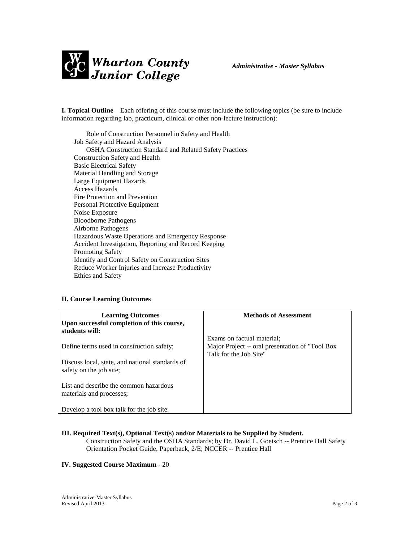

**I. Topical Outline** – Each offering of this course must include the following topics (be sure to include information regarding lab, practicum, clinical or other non-lecture instruction):

Role of Construction Personnel in Safety and Health Job Safety and Hazard Analysis OSHA Construction Standard and Related Safety Practices Construction Safety and Health Basic Electrical Safety Material Handling and Storage Large Equipment Hazards Access Hazards Fire Protection and Prevention Personal Protective Equipment Noise Exposure Bloodborne Pathogens Airborne Pathogens Hazardous Waste Operations and Emergency Response Accident Investigation, Reporting and Record Keeping Promoting Safety Identify and Control Safety on Construction Sites Reduce Worker Injuries and Increase Productivity Ethics and Safety

### **II. Course Learning Outcomes**

| <b>Learning Outcomes</b><br>Upon successful completion of this course,<br>students will: | <b>Methods of Assessment</b>                                                                            |
|------------------------------------------------------------------------------------------|---------------------------------------------------------------------------------------------------------|
| Define terms used in construction safety;                                                | Exams on factual material;<br>Major Project -- oral presentation of "Tool Box<br>Talk for the Job Site" |
| Discuss local, state, and national standards of<br>safety on the job site;               |                                                                                                         |
| List and describe the common hazardous<br>materials and processes;                       |                                                                                                         |
| Develop a tool box talk for the job site.                                                |                                                                                                         |

#### **III. Required Text(s), Optional Text(s) and/or Materials to be Supplied by Student.**

Construction Safety and the OSHA Standards; by Dr. David L. Goetsch -- Prentice Hall Safety Orientation Pocket Guide, Paperback, 2/E; NCCER -- Prentice Hall

#### **IV. Suggested Course Maximum** - 20